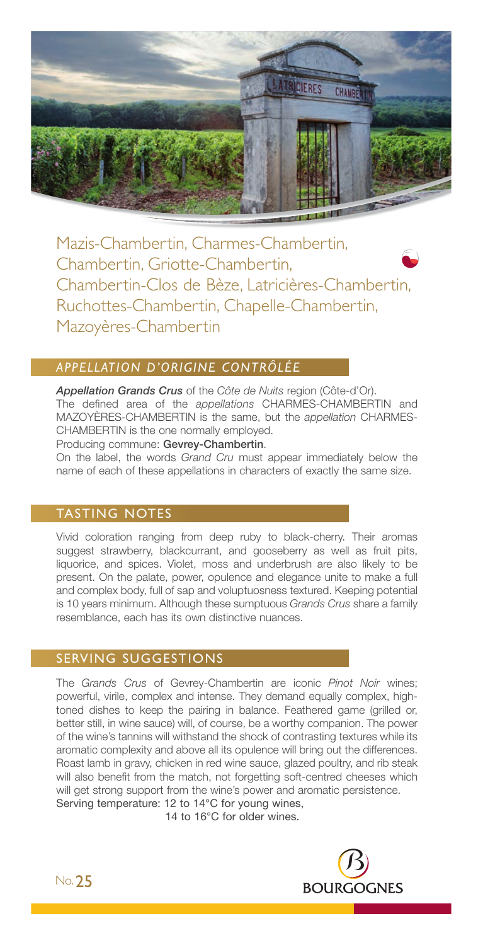

Mazis-Chambertin, Charmes-Chambertin, Chambertin, Griotte-Chambertin, Chambertin-Clos de Bèze, Latricières-Chambertin, Ruchottes-Chambertin, Chapelle-Chambertin, Mazoyères-Chambertin

# *APPELLATION D'ORIGINE CONTRÔLÉE*

*Appellation Grands Crus* of the *Côte de Nuits* region (Côte-d'Or). The defined area of the *appellations* CHARMES-CHAMBERTIN and MAZOYÈRES-CHAMBERTIN is the same, but the *appellation* CHARMES-CHAMBERTIN is the one normally employed.

Producing commune: Gevrey-Chambertin.

On the label, the words *Grand Cru* must appear immediately below the name of each of these appellations in characters of exactly the same size.

## TASTING NOTES

Vivid coloration ranging from deep ruby to black-cherry. Their aromas suggest strawberry, blackcurrant, and gooseberry as well as fruit pits, liquorice, and spices. Violet, moss and underbrush are also likely to be present. On the palate, power, opulence and elegance unite to make a full and complex body, full of sap and voluptuosness textured. Keeping potential is 10 years minimum. Although these sumptuous *Grands Crus* share a family resemblance, each has its own distinctive nuances.

## SERVING SUGGESTIONS

The *Grands Crus* of Gevrey-Chambertin are iconic *Pinot Noir* wines; powerful, virile, complex and intense. They demand equally complex, hightoned dishes to keep the pairing in balance. Feathered game (grilled or, better still, in wine sauce) will, of course, be a worthy companion. The power of the wine's tannins will withstand the shock of contrasting textures while its aromatic complexity and above all its opulence will bring out the differences. Roast lamb in gravy, chicken in red wine sauce, glazed poultry, and rib steak will also benefit from the match, not forgetting soft-centred cheeses which will get strong support from the wine's power and aromatic persistence. Serving temperature: 12 to 14°C for young wines,

14 to 16°C for older wines.